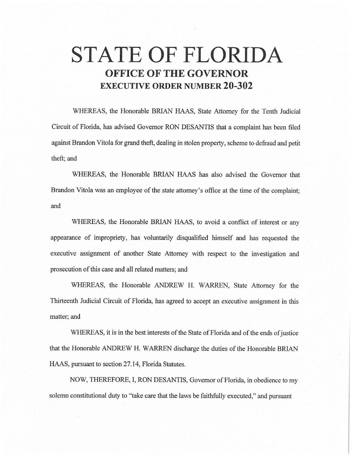# **STATE OF FLORIDA OFFICE OF THE GOVERNOR EXECUTIVE ORDER NUMBER 20-302**

WHEREAS, the Honorable BRIAN HAAS, State Attorney for the Tenth Judicial Circuit of Florida, has advised Governor RON DESANTIS that a complaint has been filed against Brandon Vitela for grand theft, dealing in stolen property, scheme to defraud and petit theft; and

WHEREAS, the Honorable BRIAN HAAS has also advised the Governor that Brandon Vitola was an employee of the state attorney's office at the time of the complaint; and

WHEREAS, the Honorable BRIAN HAAS, to avoid a conflict of interest or any appearance of impropriety, has voluntarily disqualified himself and has requested the executive assignment of another State Attorney with respect to the investigation and prosecution of this case and all related matters; and

WHEREAS, the Honorable ANDREW H. WARREN, State Attorney for the Thirteenth Judicial Circuit of Florida, has agreed to accept an executive assignment in this matter; and

WHEREAS, it is in the best interests of the State of Florida and of the ends of justice that the Honorable ANDREW H. WARREN discharge the duties of the Honorable BRIAN HAAS, pursuant to section 27.14, Florida Statutes.

NOW, THEREFORE, I, RON DESANTIS, Governor of Florida, in obedience to my solemn constitutional duty to "take care that the laws be faithfully executed," and pursuant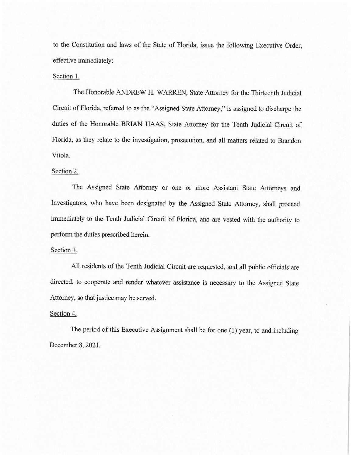to the Constitution and laws of the State of Florida, issue the following Executive Order, effective immediately:

## Section 1.

The Honorable ANDREW H. WARREN, State Attorney for the Thirteenth Judicial Circuit of Florida, referred to as the "Assigned State Attorney," is assigned to discharge the duties of the Honorable BRIAN HAAS, State Attorney for the Tenth Judicial Circuit of Florida, as they relate to the investigation, prosecution, and all matters related to Brandon Vitola.

## Section 2.

The Assigned State Attorney or one or more Assistant State Attorneys and Investigators, who have been designated by the Assigned State Attorney, shall proceed immediately to the Tenth Judicial Circuit of Florida, and are vested with the authority to perform the duties prescribed herein.

#### Section 3.

All residents of the Tenth Judicial Circuit are requested, and all public officials are directed, to cooperate and render whatever assistance is necessary to the Assigned State Attorney, so that justice may be served.

### Section 4.

The period of this Executive Assignment shall be for one (1) year, to and including December 8, 2021.